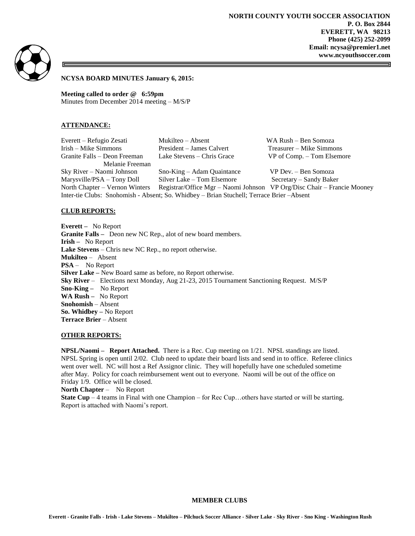**NORTH COUNTY YOUTH SOCCER ASSOCIATION P. O. Box 2844 EVERETT, WA 98213 Phone (425) 252-2099 Email: ncysa@premier1.net www.ncyouthsoccer.com**



**NCYSA BOARD MINUTES January 6, 2015:** 

**Meeting called to order @ 6:59pm** Minutes from December 2014 meeting – M/S/P

### **ATTENDANCE:**

| Everett – Refugio Zesati                                                                  | Mukilteo – Absent                                                       | WA Rush - Ben Somoza       |
|-------------------------------------------------------------------------------------------|-------------------------------------------------------------------------|----------------------------|
| Irish – Mike Simmons                                                                      | President – James Calvert                                               | Treasurer – Mike Simmons   |
| Granite Falls – Deon Freeman                                                              | Lake Stevens – Chris Grace                                              | VP of Comp. – Tom Elsemore |
| Melanie Freeman                                                                           |                                                                         |                            |
| Sky River – Naomi Johnson                                                                 | Sno-King – Adam Quaintance                                              | VP Dev. - Ben Somoza       |
| Marysville/PSA – Tony Doll                                                                | Silver Lake – Tom Elsemore                                              | Secretary – Sandy Baker    |
| North Chapter – Vernon Winters                                                            | Registrar/Office Mgr – Naomi Johnson VP Org/Disc Chair – Francie Mooney |                            |
| Inter-tie Clubs: Snohomish - Absent; So. Whidbey - Brian Stuchell; Terrace Brier - Absent |                                                                         |                            |

#### **CLUB REPORTS:**

**Everett –** No Report **Granite Falls –** Deon new NC Rep., alot of new board members. **Irish –** No Report **Lake Stevens** – Chris new NC Rep., no report otherwise. **Mukilteo** – Absent **PSA** – No Report **Silver Lake –** New Board same as before, no Report otherwise. **Sky River** – Elections next Monday, Aug 21-23, 2015 Tournament Sanctioning Request. M/S/P **Sno-King –** No Report **WA Rush –** No Report **Snohomish** – Absent **So. Whidbey –** No Report **Terrace Brier** – Absent

# **OTHER REPORTS:**

**NPSL/Naomi – Report Attached.** There is a Rec. Cup meeting on 1/21. NPSL standings are listed. NPSL Spring is open until 2/02. Club need to update their board lists and send in to office. Referee clinics went over well. NC will host a Ref Assignor clinic. They will hopefully have one scheduled sometime after May. Policy for coach reimbursement went out to everyone. Naomi will be out of the office on Friday 1/9. Office will be closed.

**North Chapter** – No Report

**State Cup** – 4 teams in Final with one Champion – for Rec Cup... others have started or will be starting. Report is attached with Naomi's report.

#### **MEMBER CLUBS**